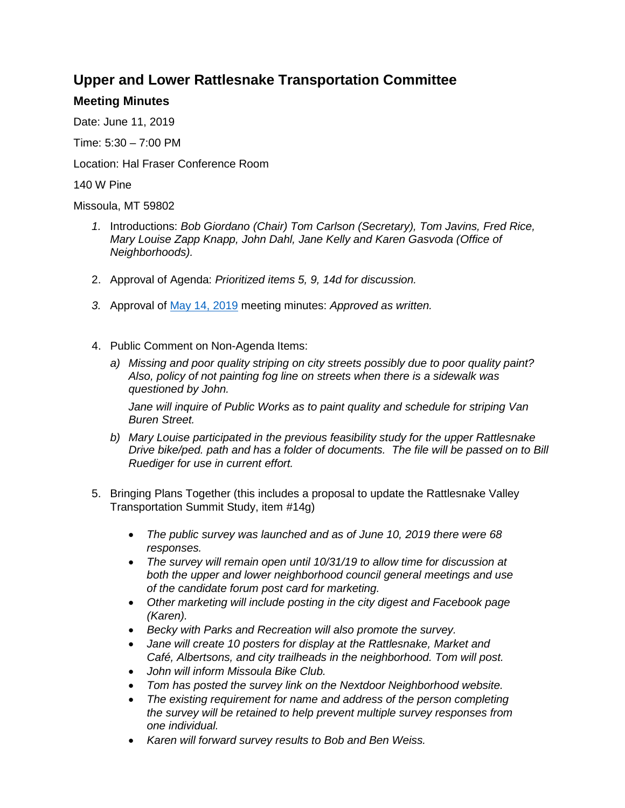## **Upper and Lower Rattlesnake Transportation Committee**

## **Meeting Minutes**

Date: June 11, 2019

Time: 5:30 – 7:00 PM

Location: Hal Fraser Conference Room

140 W Pine

Missoula, MT 59802

- *1.* Introductions: *Bob Giordano (Chair) Tom Carlson (Secretary), Tom Javins, Fred Rice, Mary Louise Zapp Knapp, John Dahl, Jane Kelly and Karen Gasvoda (Office of Neighborhoods).*
- 2. Approval of Agenda: *Prioritized items 5, 9, 14d for discussion.*
- *3.* Approval of [May 14, 2019](https://www.ci.missoula.mt.us/ArchiveCenter/ViewFile/Item/14052) meeting minutes: *Approved as written.*
- 4. Public Comment on Non-Agenda Items:
	- *a) Missing and poor quality striping on city streets possibly due to poor quality paint? Also, policy of not painting fog line on streets when there is a sidewalk was questioned by John.*

*Jane will inquire of Public Works as to paint quality and schedule for striping Van Buren Street.*

- *b) Mary Louise participated in the previous feasibility study for the upper Rattlesnake Drive bike/ped. path and has a folder of documents. The file will be passed on to Bill Ruediger for use in current effort.*
- 5. Bringing Plans Together (this includes a proposal to update the Rattlesnake Valley Transportation Summit Study, item #14g)
	- *The public survey was launched and as of June 10, 2019 there were 68 responses.*
	- *The survey will remain open until 10/31/19 to allow time for discussion at both the upper and lower neighborhood council general meetings and use of the candidate forum post card for marketing.*
	- *Other marketing will include posting in the city digest and Facebook page (Karen).*
	- *Becky with Parks and Recreation will also promote the survey.*
	- *Jane will create 10 posters for display at the Rattlesnake, Market and Café, Albertsons, and city trailheads in the neighborhood. Tom will post.*
	- *John will inform Missoula Bike Club.*
	- *Tom has posted the survey link on the Nextdoor Neighborhood website.*
	- *The existing requirement for name and address of the person completing the survey will be retained to help prevent multiple survey responses from one individual.*
	- *Karen will forward survey results to Bob and Ben Weiss.*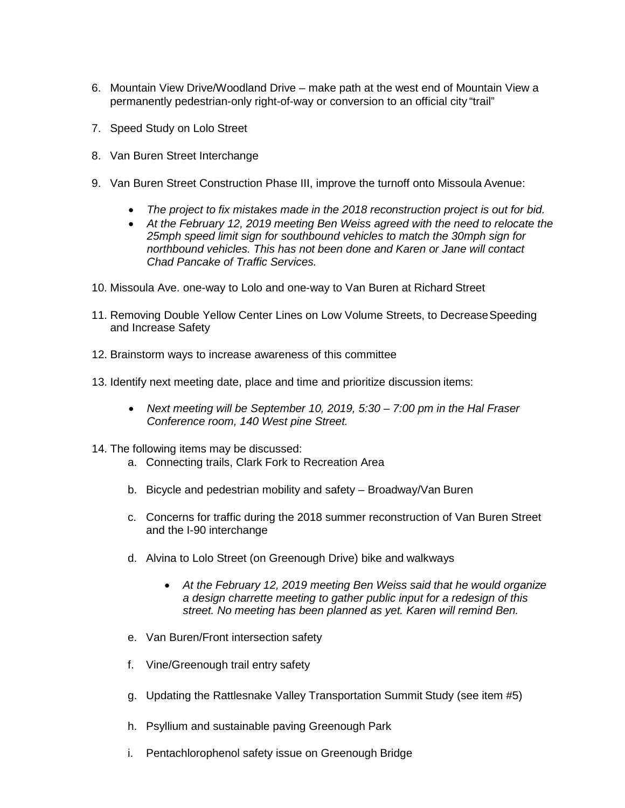- 6. Mountain View Drive/Woodland Drive make path at the west end of Mountain View a permanently pedestrian-only right-of-way or conversion to an official city "trail"
- 7. Speed Study on Lolo Street
- 8. Van Buren Street Interchange
- 9. Van Buren Street Construction Phase III, improve the turnoff onto Missoula Avenue:
	- *The project to fix mistakes made in the 2018 reconstruction project is out for bid.*
	- *At the February 12, 2019 meeting Ben Weiss agreed with the need to relocate the 25mph speed limit sign for southbound vehicles to match the 30mph sign for northbound vehicles. This has not been done and Karen or Jane will contact Chad Pancake of Traffic Services.*
- 10. Missoula Ave. one-way to Lolo and one-way to Van Buren at Richard Street
- 11. Removing Double Yellow Center Lines on Low Volume Streets, to Decrease Speeding [and Increase](https://usa.streetsblog.org/2014/08/15/removing-center-lines-reduced-speeding-on-london-streets/) Safety
- 12. Brainstorm ways to increase awareness of this committee
- 13. Identify next meeting date, place and time and prioritize discussion items:
	- *Next meeting will be September 10, 2019, 5:30 – 7:00 pm in the Hal Fraser Conference room, 140 West pine Street.*
- 14. The following items may be discussed:
	- a. Connecting trails, Clark Fork to Recreation Area
	- b. Bicycle and pedestrian mobility and safety Broadway/Van Buren
	- c. Concerns for traffic during the 2018 summer reconstruction of Van Buren Street and the I-90 interchange
	- d. Alvina to Lolo Street (on Greenough Drive) bike and walkways
		- *At the February 12, 2019 meeting Ben Weiss said that he would organize a design charrette meeting to gather public input for a redesign of this street. No meeting has been planned as yet. Karen will remind Ben.*
	- e. Van Buren/Front intersection safety
	- f. Vine/Greenough trail entry safety
	- g. Updating the Rattlesnake Valley Transportation Summit Study (see item #5)
	- h. Psyllium and sustainable paving Greenough Park
	- i. Pentachlorophenol safety issue on Greenough Bridge